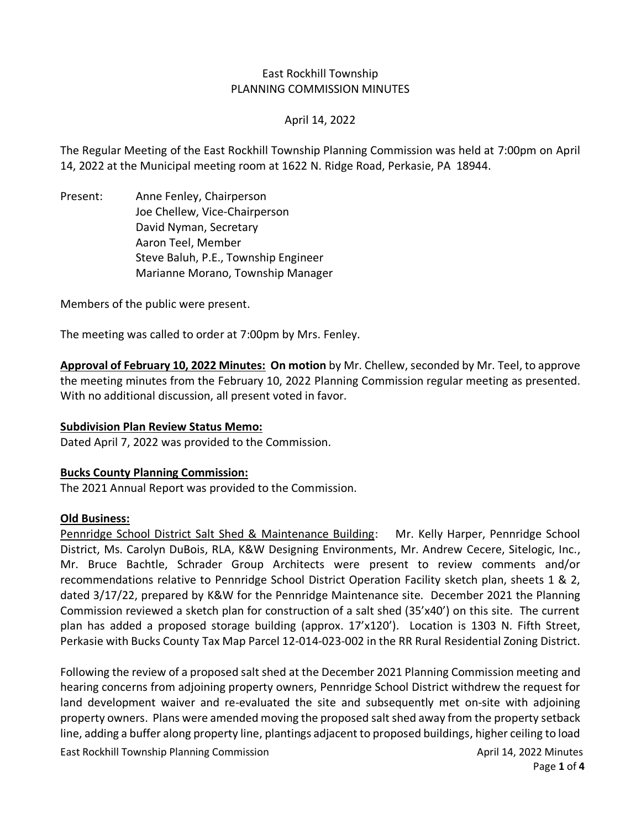# East Rockhill Township PLANNING COMMISSION MINUTES

## April 14, 2022

The Regular Meeting of the East Rockhill Township Planning Commission was held at 7:00pm on April 14, 2022 at the Municipal meeting room at 1622 N. Ridge Road, Perkasie, PA 18944.

Present: Anne Fenley, Chairperson Joe Chellew, Vice-Chairperson David Nyman, Secretary Aaron Teel, Member Steve Baluh, P.E., Township Engineer Marianne Morano, Township Manager

Members of the public were present.

The meeting was called to order at 7:00pm by Mrs. Fenley.

Approval of February 10, 2022 Minutes: On motion by Mr. Chellew, seconded by Mr. Teel, to approve the meeting minutes from the February 10, 2022 Planning Commission regular meeting as presented. With no additional discussion, all present voted in favor.

### **Subdivision Plan Review Status Memo:**

Dated April 7, 2022 was provided to the Commission.

### **Bucks County Planning Commission:**

The 2021 Annual Report was provided to the Commission.

### **Old Business:**

Pennridge School District Salt Shed & Maintenance Building: Mr. Kelly Harper, Pennridge School District, Ms. Carolyn DuBois, RLA, K&W Designing Environments, Mr. Andrew Cecere, Sitelogic, Inc., Mr. Bruce Bachtle, Schrader Group Architects were present to review comments and/or recommendations relative to Pennridge School District Operation Facility sketch plan, sheets 1 & 2, dated 3/17/22, prepared by K&W for the Pennridge Maintenance site. December 2021 the Planning Commission reviewed a sketch plan for construction of a salt shed (35'x40') on this site. The current plan has added a proposed storage building (approx. 17'x120'). Location is 1303 N. Fifth Street, Perkasie with Bucks County Tax Map Parcel 12-014-023-002 in the RR Rural Residential Zoning District.

Following the review of a proposed salt shed at the December 2021 Planning Commission meeting and hearing concerns from adjoining property owners, Pennridge School District withdrew the request for land development waiver and re-evaluated the site and subsequently met on-site with adjoining property owners. Plans were amended moving the proposed salt shed away from the property setback line, adding a buffer along property line, plantings adjacent to proposed buildings, higher ceiling to load

East Rockhill Township Planning Commission **April 14, 2022 Minutes** April 14, 2022 Minutes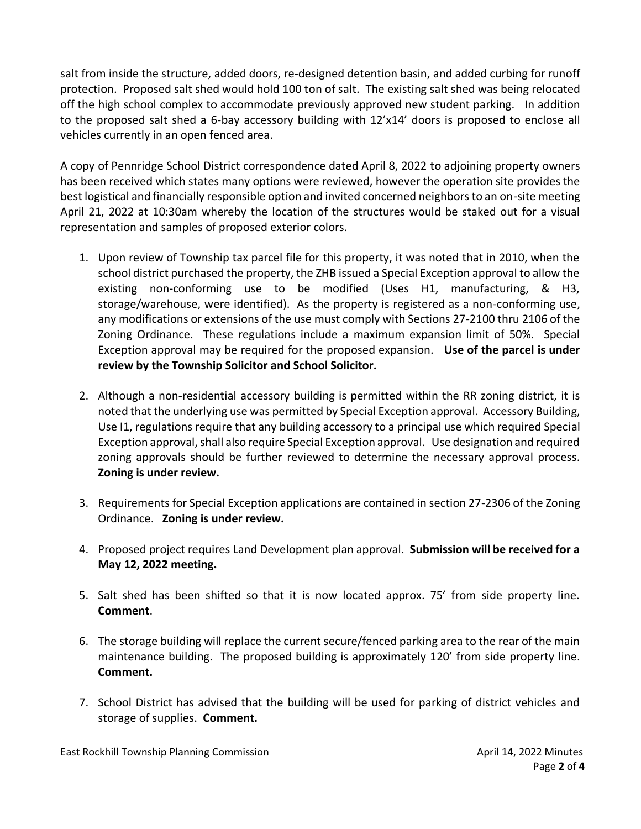salt from inside the structure, added doors, re-designed detention basin, and added curbing for runoff protection. Proposed salt shed would hold 100 ton of salt. The existing salt shed was being relocated off the high school complex to accommodate previously approved new student parking. In addition to the proposed salt shed a 6-bay accessory building with 12'x14' doors is proposed to enclose all vehicles currently in an open fenced area.

A copy of Pennridge School District correspondence dated April 8, 2022 to adjoining property owners has been received which states many options were reviewed, however the operation site provides the best logistical and financially responsible option and invited concerned neighbors to an on-site meeting April 21, 2022 at 10:30am whereby the location of the structures would be staked out for a visual representation and samples of proposed exterior colors.

- 1. Upon review of Township tax parcel file for this property, it was noted that in 2010, when the school district purchased the property, the ZHB issued a Special Exception approval to allow the existing non-conforming use to be modified (Uses H1, manufacturing, & H3, storage/warehouse, were identified). As the property is registered as a non-conforming use, any modifications or extensions of the use must comply with Sections 27-2100 thru 2106 of the Zoning Ordinance. These regulations include a maximum expansion limit of 50%. Special Exception approval may be required for the proposed expansion. **Use of the parcel is under review by the Township Solicitor and School Solicitor.**
- 2. Although a non-residential accessory building is permitted within the RR zoning district, it is noted that the underlying use was permitted by Special Exception approval. Accessory Building, Use I1, regulations require that any building accessory to a principal use which required Special Exception approval, shall also require Special Exception approval. Use designation and required zoning approvals should be further reviewed to determine the necessary approval process. **Zoning is under review.**
- 3. Requirements for Special Exception applications are contained in section 27-2306 of the Zoning Ordinance. **Zoning is under review.**
- 4. Proposed project requires Land Development plan approval. **Submission will be received for a May 12, 2022 meeting.**
- 5. Salt shed has been shifted so that it is now located approx. 75' from side property line. **Comment**.
- 6. The storage building will replace the current secure/fenced parking area to the rear of the main maintenance building. The proposed building is approximately 120' from side property line. **Comment.**
- 7. School District has advised that the building will be used for parking of district vehicles and storage of supplies. **Comment.**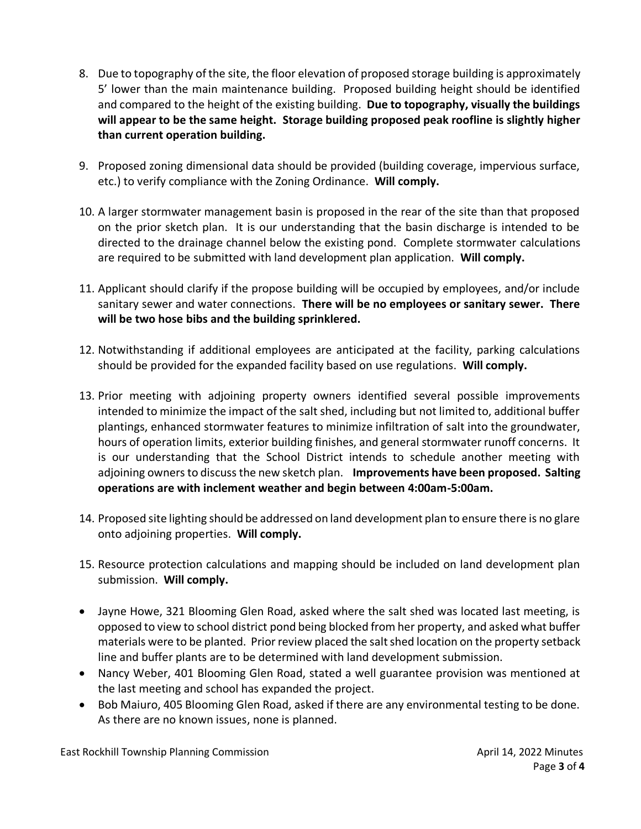- 8. Due to topography of the site, the floor elevation of proposed storage building is approximately 5' lower than the main maintenance building. Proposed building height should be identified and compared to the height of the existing building. **Due to topography, visually the buildings will appear to be the same height. Storage building proposed peak roofline is slightly higher than current operation building.**
- 9. Proposed zoning dimensional data should be provided (building coverage, impervious surface, etc.) to verify compliance with the Zoning Ordinance. **Will comply.**
- 10. A larger stormwater management basin is proposed in the rear of the site than that proposed on the prior sketch plan. It is our understanding that the basin discharge is intended to be directed to the drainage channel below the existing pond. Complete stormwater calculations are required to be submitted with land development plan application. **Will comply.**
- 11. Applicant should clarify if the propose building will be occupied by employees, and/or include sanitary sewer and water connections. **There will be no employees or sanitary sewer. There will be two hose bibs and the building sprinklered.**
- 12. Notwithstanding if additional employees are anticipated at the facility, parking calculations should be provided for the expanded facility based on use regulations. **Will comply.**
- 13. Prior meeting with adjoining property owners identified several possible improvements intended to minimize the impact of the salt shed, including but not limited to, additional buffer plantings, enhanced stormwater features to minimize infiltration of salt into the groundwater, hours of operation limits, exterior building finishes, and general stormwater runoff concerns. It is our understanding that the School District intends to schedule another meeting with adjoining owners to discuss the new sketch plan. **Improvements have been proposed. Salting operations are with inclement weather and begin between 4:00am-5:00am.**
- 14. Proposed site lighting should be addressed on land development plan to ensure there is no glare onto adjoining properties. **Will comply.**
- 15. Resource protection calculations and mapping should be included on land development plan submission. **Will comply.**
- Jayne Howe, 321 Blooming Glen Road, asked where the salt shed was located last meeting, is opposed to view to school district pond being blocked from her property, and asked what buffer materials were to be planted. Prior review placed the salt shed location on the property setback line and buffer plants are to be determined with land development submission.
- Nancy Weber, 401 Blooming Glen Road, stated a well guarantee provision was mentioned at the last meeting and school has expanded the project.
- Bob Maiuro, 405 Blooming Glen Road, asked if there are any environmental testing to be done. As there are no known issues, none is planned.